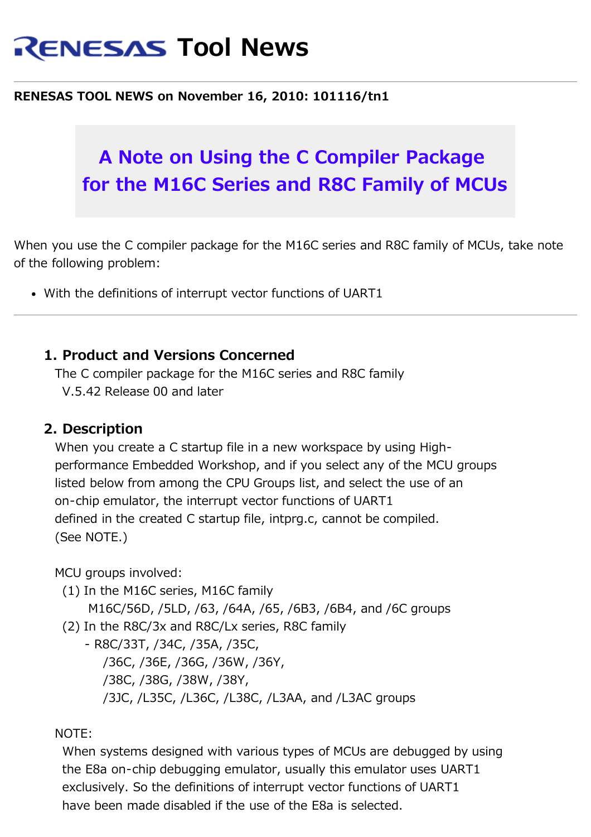# **RENESAS Tool News**

#### **RENESAS TOOL NEWS on November 16, 2010: 101116/tn1**

## **A Note on Using the C Compiler Package for the M16C Series and R8C Family of MCUs**

When you use the C compiler package for the M16C series and R8C family of MCUs, take note of the following problem:

With the definitions of interrupt vector functions of UART1

#### **1. Product and Versions Concerned**

The C compiler package for the M16C series and R8C family V.5.42 Release 00 and later

#### **2. Description**

When you create a C startup file in a new workspace by using High performance Embedded Workshop, and if you select any of the MCU groups listed below from among the CPU Groups list, and select the use of an on-chip emulator, the interrupt vector functions of UART1 defined in the created C startup file, intprg.c, cannot be compiled. (See NOTE.)

MCU groups involved:

(1) In the M16C series, M16C family

M16C/56D, /5LD, /63, /64A, /65, /6B3, /6B4, and /6C groups

(2) In the R8C/3x and R8C/Lx series, R8C family

- R8C/33T, /34C, /35A, /35C, /36C, /36E, /36G, /36W, /36Y, /38C, /38G, /38W, /38Y, /3JC, /L35C, /L36C, /L38C, /L3AA, and /L3AC groups

#### NOTE:

 When systems designed with various types of MCUs are debugged by using the E8a on-chip debugging emulator, usually this emulator uses UART1 exclusively. So the definitions of interrupt vector functions of UART1 have been made disabled if the use of the E8a is selected.